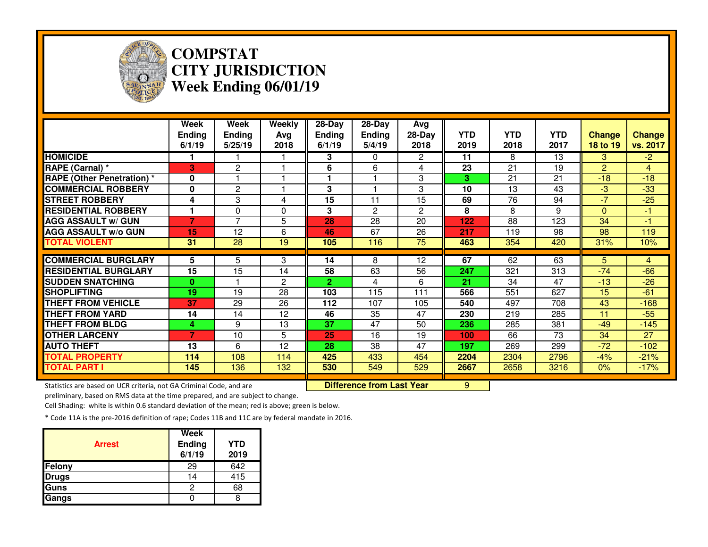

## **COMPSTAT CITY JURISDICTIONWeek Ending 06/01/19**

|                                  | Week<br><b>Ending</b><br>6/1/19 | Week<br><b>Ending</b><br>5/25/19 | Weekly<br>Ava<br>2018 | $28 - Day$<br><b>Ending</b><br>6/1/19 | $28 - Day$<br><b>Ending</b><br>5/4/19 | Avg<br>$28-Day$<br>2018 | <b>YTD</b><br>2019 | <b>YTD</b><br>2018 | <b>YTD</b><br>2017 | <b>Change</b><br>18 to 19 | <b>Change</b><br>vs. 2017 |
|----------------------------------|---------------------------------|----------------------------------|-----------------------|---------------------------------------|---------------------------------------|-------------------------|--------------------|--------------------|--------------------|---------------------------|---------------------------|
| <b>HOMICIDE</b>                  |                                 |                                  |                       | 3                                     | $\Omega$                              | $\overline{2}$          | 11                 | 8                  | 13                 | 3                         | $-2$                      |
| RAPE (Carnal) *                  | 3                               | $\overline{2}$                   |                       | 6                                     | 6                                     | 4                       | 23                 | 21                 | 19                 | $\overline{2}$            | 4                         |
| <b>RAPE (Other Penetration)*</b> | $\bf{0}$                        |                                  |                       |                                       |                                       | 3                       | 3                  | 21                 | 21                 | $-18$                     | $-18$                     |
| <b>COMMERCIAL ROBBERY</b>        | 0                               | $\mathbf{2}$                     |                       | 3                                     |                                       | 3                       | 10                 | 13                 | 43                 | $-3$                      | $-33$                     |
| <b>STREET ROBBERY</b>            | 4                               | 3                                | 4                     | 15                                    | 11                                    | 15                      | 69                 | 76                 | 94                 | $-7$                      | $-25$                     |
| <b>RESIDENTIAL ROBBERY</b>       |                                 | 0                                | $\Omega$              | 3                                     | $\overline{2}$                        | $\overline{2}$          | 8                  | 8                  | 9                  | $\Omega$                  | $-1$                      |
| <b>AGG ASSAULT w/ GUN</b>        | $\overline{7}$                  | $\overline{7}$                   | 5                     | 28                                    | 28                                    | 20                      | 122                | 88                 | 123                | 34                        | $-1$                      |
| <b>AGG ASSAULT w/o GUN</b>       | 15                              | 12                               | 6                     | 46                                    | 67                                    | 26                      | 217                | 119                | 98                 | 98                        | 119                       |
| <b>TOTAL VIOLENT</b>             | 31                              | 28                               | 19                    | 105                                   | 116                                   | $\overline{75}$         | 463                | 354                | 420                | 31%                       | 10%                       |
|                                  |                                 |                                  |                       |                                       |                                       |                         |                    |                    |                    |                           |                           |
| <b>COMMERCIAL BURGLARY</b>       | 5                               | 5                                | 3                     | 14                                    | 8                                     | 12                      | 67                 | 62                 | 63                 | 5                         | 4                         |
| <b>RESIDENTIAL BURGLARY</b>      | 15                              | 15                               | 14                    | 58                                    | 63                                    | 56                      | 247                | 321                | 313                | $-74$                     | $-66$                     |
| <b>SUDDEN SNATCHING</b>          | $\bf{0}$                        |                                  | 2                     | $\mathbf{2}$                          | 4                                     | 6                       | 21                 | 34                 | 47                 | $-13$                     | $-26$                     |
| <b>SHOPLIFTING</b>               | 19                              | 19                               | 28                    | 103                                   | 115                                   | 111                     | 566                | 551                | 627                | 15                        | $-61$                     |
| <b>THEFT FROM VEHICLE</b>        | 37                              | 29                               | 26                    | 112                                   | 107                                   | 105                     | 540                | 497                | 708                | 43                        | $-168$                    |
| <b>THEFT FROM YARD</b>           | 14                              | 14                               | 12                    | 46                                    | 35                                    | 47                      | 230                | 219                | 285                | 11                        | $-55$                     |
| <b>THEFT FROM BLDG</b>           | 4                               | 9                                | 13                    | 37                                    | 47                                    | 50                      | 236                | 285                | 381                | $-49$                     | $-145$                    |
| <b>OTHER LARCENY</b>             | 7                               | 10                               | 5                     | 25                                    | 16                                    | 19                      | 100                | 66                 | 73                 | 34                        | 27                        |
| <b>AUTO THEFT</b>                | 13                              | 6                                | 12                    | 28                                    | 38                                    | 47                      | 197                | 269                | 299                | $-72$                     | $-102$                    |
| <b>TOTAL PROPERTY</b>            | 114                             | 108                              | 114                   | 425                                   | 433                                   | 454                     | 2204               | 2304               | 2796               | $-4%$                     | $-21%$                    |
| <b>TOTAL PART I</b>              | 145                             | 136                              | 132                   | 530                                   | 549                                   | 529                     | 2667               | 2658               | 3216               | 0%                        | $-17%$                    |

Statistics are based on UCR criteria, not GA Criminal Code, and are **Difference from Last Year** 

preliminary, based on RMS data at the time prepared, and are subject to change.

<mark>r 9</mark>

Cell Shading: white is within 0.6 standard deviation of the mean; red is above; green is below.

| <b>Arrest</b> | Week<br>Ending<br>6/1/19 | YTD<br>2019 |
|---------------|--------------------------|-------------|
| <b>Felony</b> | 29                       | 642         |
| <b>Drugs</b>  | 14                       | 415         |
| Guns          |                          | 68          |
| Gangs         |                          |             |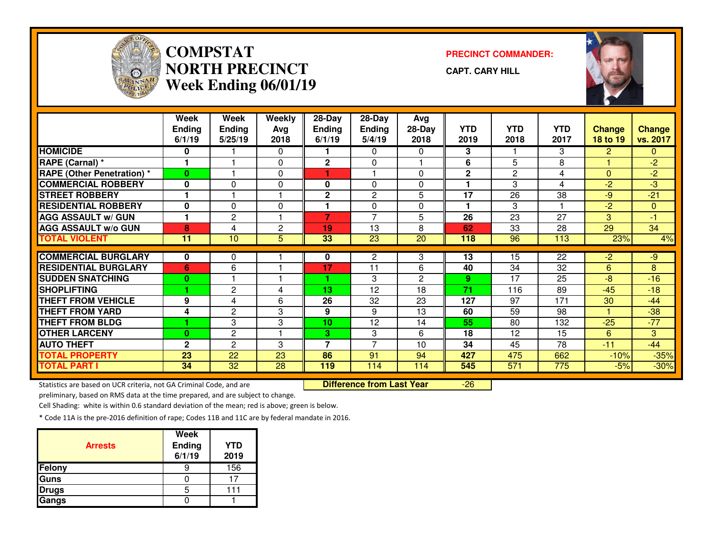

### **COMPSTAT PRECINCT COMMANDER: NORTH PRECINCTWeek Ending 06/01/19**

**CAPT. CARY HILL**

-26



|                                   | Week                 | Week            | Weekly         | 28-Day                   | 28-Day         | Avg            |              |              |                         |               |               |
|-----------------------------------|----------------------|-----------------|----------------|--------------------------|----------------|----------------|--------------|--------------|-------------------------|---------------|---------------|
|                                   | <b>Ending</b>        | Ending          | Avg            | <b>Ending</b>            | <b>Ending</b>  | $28-Day$       | <b>YTD</b>   | <b>YTD</b>   | <b>YTD</b>              | <b>Change</b> | <b>Change</b> |
|                                   | 6/1/19               | 5/25/19         | 2018           | 6/1/19                   | 5/4/19         | 2018           | 2019         | 2018         | 2017                    | 18 to 19      | vs. 2017      |
| <b>HOMICIDE</b>                   | 0                    |                 | 0              |                          | $\Omega$       | 0              | 3            |              | 3                       | $\mathbf{2}$  | 0             |
| RAPE (Carnal) *                   |                      |                 | 0              | $\overline{2}$           | $\Omega$       |                | 6            | 5            | 8                       |               | $-2$          |
| <b>RAPE (Other Penetration) *</b> | 0                    |                 | 0              |                          |                | 0              | $\mathbf{2}$ | $\mathbf{2}$ | 4                       | $\Omega$      | $-2$          |
| <b>COMMERCIAL ROBBERY</b>         | $\bf{0}$             | $\Omega$        | 0              | 0                        | $\Omega$       | 0              |              | 3            | 4                       | $-2$          | $-3$          |
| <b>STREET ROBBERY</b>             |                      |                 | ٠              | 2                        | 2              | 5              | 17           | 26           | 38                      | $-9$          | $-21$         |
| <b>RESIDENTIAL ROBBERY</b>        | $\bf{0}$             | $\Omega$        | 0              |                          | $\Omega$       | 0              | 1            | 3            | $\overline{\mathbf{1}}$ | $-2$          | $\mathbf{0}$  |
| <b>AGG ASSAULT w/ GUN</b>         | $\blacktriangleleft$ | $\mathbf{2}$    |                | 7                        | $\overline{7}$ | 5              | 26           | 23           | 27                      | 3             | $-1$          |
| <b>AGG ASSAULT w/o GUN</b>        | 8                    | 4               | $\overline{c}$ | 19                       | 13             | 8              | 62           | 33           | 28                      | 29            | 34            |
| <b>TOTAL VIOLENT</b>              | 11                   | 10              | 5              | 33                       | 23             | 20             | 118          | 96           | 113                     | 23%           | 4%            |
|                                   |                      |                 |                |                          |                |                |              |              |                         |               |               |
| <b>COMMERCIAL BURGLARY</b>        | 0                    | 0               |                | 0                        | 2              | 3              | 13           | 15           | 22                      | $-2$          | $-9$          |
| <b>RESIDENTIAL BURGLARY</b>       | 6                    | 6               |                | 17                       | 11             | 6              | 40           | 34           | 32                      | 6             | 8             |
| <b>SUDDEN SNATCHING</b>           | 0                    |                 |                |                          | 3              | $\overline{2}$ | 9            | 17           | 25                      | $-8$          | $-16$         |
| <b>SHOPLIFTING</b>                |                      | 2               | 4              | 13                       | 12             | 18             | 71           | 116          | 89                      | $-45$         | $-18$         |
| <b>THEFT FROM VEHICLE</b>         | 9                    | 4               | 6              | 26                       | 32             | 23             | 127          | 97           | 171                     | 30            | $-44$         |
| <b>THEFT FROM YARD</b>            | 4                    | 2               | 3              | 9                        | 9              | 13             | 60           | 59           | 98                      |               | $-38$         |
| <b>THEFT FROM BLDG</b>            |                      | 3               | 3              | 10                       | 12             | 14             | 55           | 80           | 132                     | $-25$         | $-77$         |
| <b>OTHER LARCENY</b>              | $\bf{0}$             | 2               |                | 3.                       | 3              | 6              | 18           | 12           | 15                      | 6             | 3             |
| <b>AUTO THEFT</b>                 | $\mathbf{2}$         | $\overline{2}$  | 3              | $\overline{\phantom{a}}$ | $\overline{z}$ | 10             | 34           | 45           | 78                      | $-11$         | $-44$         |
| <b>TOTAL PROPERTY</b>             | 23                   | 22              | 23             | 86                       | 91             | 94             | 427          | 475          | 662                     | $-10%$        | $-35%$        |
| <b>TOTAL PART I</b>               | 34                   | $\overline{32}$ | 28             | 119                      | 114            | 114            | 545          | 571          | 775                     | $-5%$         | $-30%$        |

Statistics are based on UCR criteria, not GA Criminal Code, and are **Difference from Last Year** 

preliminary, based on RMS data at the time prepared, and are subject to change.

Cell Shading: white is within 0.6 standard deviation of the mean; red is above; green is below.

| <b>Arrests</b> | <b>Week</b><br><b>Ending</b><br>6/1/19 | <b>YTD</b><br>2019 |
|----------------|----------------------------------------|--------------------|
| Felony         |                                        | 156                |
| Guns           |                                        |                    |
| <b>Drugs</b>   | h                                      | 111                |
| Gangs          |                                        |                    |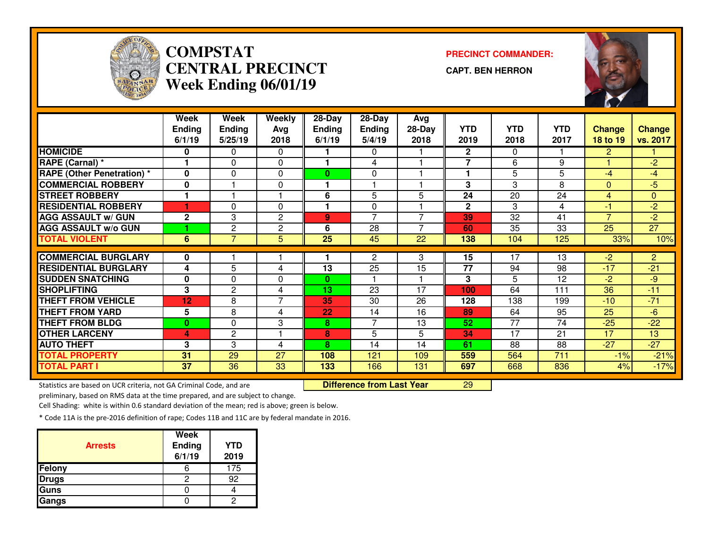

# **COMPSTAT PRECINCT COMMANDER: CENTRAL PRECINCTWeek Ending 06/01/19**

**CAPT. BEN HERRON**



|                                   | Week           | <b>Week</b>    | Weekly         | 28-Day        | 28-Day         | Avg            |                |            |            |                |                 |
|-----------------------------------|----------------|----------------|----------------|---------------|----------------|----------------|----------------|------------|------------|----------------|-----------------|
|                                   | <b>Ending</b>  | <b>Ending</b>  | Avg            | <b>Ending</b> | <b>Ending</b>  | 28-Day         | <b>YTD</b>     | <b>YTD</b> | <b>YTD</b> | <b>Change</b>  | <b>Change</b>   |
|                                   | 6/1/19         | 5/25/19        | 2018           | 6/1/19        | 5/4/19         | 2018           | 2019           | 2018       | 2017       | 18 to 19       | vs. 2017        |
| <b>HOMICIDE</b>                   | 0              | 0              | $\Omega$       |               | 0              |                | $\mathbf{2}$   | $\Omega$   |            | $\overline{2}$ |                 |
| RAPE (Carnal) *                   |                | 0              | 0              |               | 4              |                | $\overline{7}$ | 6          | 9          |                | $-2$            |
| <b>RAPE (Other Penetration) *</b> | $\mathbf{0}$   | $\Omega$       | 0              | $\bf{0}$      | 0              |                |                | 5          | 5          | $-4$           | $-4$            |
| <b>COMMERCIAL ROBBERY</b>         | 0              |                | $\mathbf{0}$   |               |                |                | 3              | 3          | 8          | $\Omega$       | $-5$            |
| <b>STREET ROBBERY</b>             |                |                |                | 6             | 5              | 5              | 24             | 20         | 24         | 4              | $\overline{0}$  |
| <b>RESIDENTIAL ROBBERY</b>        | 4              | 0              | $\Omega$       |               | $\Omega$       |                | $\mathbf{2}$   | 3          | 4          | $-1$           | $-2$            |
| <b>AGG ASSAULT w/ GUN</b>         | $\mathbf 2$    | 3              | 2              | 9             | $\overline{7}$ | $\overline{ }$ | 39             | 32         | 41         | $\overline{7}$ | $-2$            |
| <b>AGG ASSAULT w/o GUN</b>        |                | 2              | $\overline{c}$ | 6             | 28             | $\overline{ }$ | 60             | 35         | 33         | 25             | $\overline{27}$ |
| <b>TOTAL VIOLENT</b>              | $6\phantom{1}$ | $\overline{7}$ | 5              | 25            | 45             | 22             | 138            | 104        | 125        | 33%            | 10%             |
|                                   |                |                |                |               |                |                |                |            |            |                |                 |
| <b>COMMERCIAL BURGLARY</b>        | 0              |                |                |               | $\mathbf{2}$   | 3              | 15             | 17         | 13         | $-2$           | $\overline{2}$  |
| <b>RESIDENTIAL BURGLARY</b>       | 4              | 5              | 4              | 13            | 25             | 15             | 77             | 94         | 98         | $-17$          | $-21$           |
| <b>SUDDEN SNATCHING</b>           | 0              | 0              | 0              | 0             |                |                | 3              | 5          | 12         | $-2$           | $-9$            |
| <b>SHOPLIFTING</b>                | 3              | 2              | 4              | 13            | 23             | 17             | 100            | 64         | 111        | 36             | $-11$           |
| <b>THEFT FROM VEHICLE</b>         | 12             | 8              | 7              | 35            | 30             | 26             | 128            | 138        | 199        | $-10$          | $-71$           |
| <b>THEFT FROM YARD</b>            | 5              | 8              | 4              | 22            | 14             | 16             | 89             | 64         | 95         | 25             | $-6$            |
| <b>THEFT FROM BLDG</b>            | $\bf{0}$       | 0              | 3              | 8             | 7              | 13             | 52             | 77         | 74         | $-25$          | $-22$           |
| <b>OTHER LARCENY</b>              | 4              | $\overline{2}$ |                | 8             | 5              | 5              | 34             | 17         | 21         | 17             | 13              |
| <b>AUTO THEFT</b>                 | 3              | 3              | 4              | 8             | 14             | 14             | 61             | 88         | 88         | $-27$          | $-27$           |
| <b>TOTAL PROPERTY</b>             | 31             | 29             | 27             | 108           | 121            | 109            | 559            | 564        | 711        | $-1%$          | $-21%$          |
| <b>TOTAL PART I</b>               | 37             | 36             | 33             | 133           | 166            | 131            | 697            | 668        | 836        | 4%             | $-17%$          |

Statistics are based on UCR criteria, not GA Criminal Code, and are **Difference from Last Year** 

<sup>29</sup>

preliminary, based on RMS data at the time prepared, and are subject to change.

Cell Shading: white is within 0.6 standard deviation of the mean; red is above; green is below.

| <b>Arrests</b> | <b>Week</b><br><b>Ending</b><br>6/1/19 | <b>YTD</b><br>2019 |
|----------------|----------------------------------------|--------------------|
| Felony         |                                        | 175                |
| <b>Drugs</b>   | ◠                                      | 92                 |
| Guns           |                                        |                    |
| Gangs          |                                        |                    |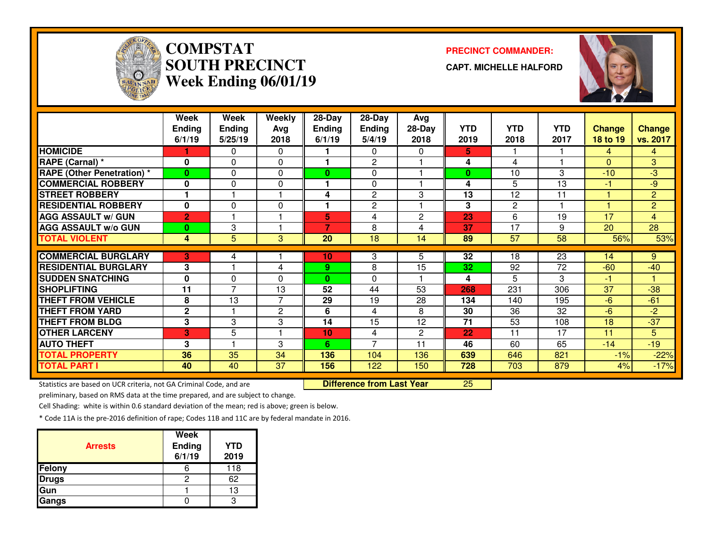

# **COMPSTATSOUTH PRECINCTWeek Ending 06/01/19**

**PRECINCT COMMANDER:**

**CAPT. MICHELLE HALFORD**



|                                   | Week           | Week           | Weekly         | 28-Day         | $28$ -Day      | Avg          |            |                 |                 |               |                |
|-----------------------------------|----------------|----------------|----------------|----------------|----------------|--------------|------------|-----------------|-----------------|---------------|----------------|
|                                   | <b>Ending</b>  | <b>Ending</b>  | Avg            | <b>Ending</b>  | <b>Ending</b>  | $28-Day$     | <b>YTD</b> | <b>YTD</b>      | <b>YTD</b>      | <b>Change</b> | <b>Change</b>  |
|                                   | 6/1/19         | 5/25/19        | 2018           | 6/1/19         | 5/4/19         | 2018         | 2019       | 2018            | 2017            | 18 to 19      | vs. 2017       |
| <b>HOMICIDE</b>                   |                | 0              | 0              |                | $\mathbf{0}$   | 0            | 5.         |                 |                 | 4             | 4              |
| RAPE (Carnal) *                   | $\bf{0}$       | $\Omega$       | 0              |                | $\overline{2}$ |              | 4          | 4               |                 | $\Omega$      | 3              |
| <b>RAPE (Other Penetration)</b> * | 0              | 0              | 0              | 0              | 0              |              | $\bf{0}$   | 10              | 3               | $-10$         | $-3$           |
| <b>COMMERCIAL ROBBERY</b>         | $\bf{0}$       | $\Omega$       | 0              |                | $\Omega$       |              | 4          | 5               | 13              | $-1$          | $-9$           |
| <b>STREET ROBBERY</b>             |                |                | ٠              | 4              | $\overline{2}$ | 3            | 13         | 12              | 11              |               | $\overline{2}$ |
| <b>RESIDENTIAL ROBBERY</b>        | $\bf{0}$       | $\Omega$       | 0              | ٠              | $\overline{2}$ |              | 3          | $\mathbf{2}$    |                 |               | $\overline{2}$ |
| <b>AGG ASSAULT w/ GUN</b>         | $\overline{2}$ |                |                | 5              | 4              | $\mathbf{2}$ | 23         | 6               | 19              | 17            | $\overline{4}$ |
| <b>AGG ASSAULT W/o GUN</b>        | $\bf{0}$       | 3              | 1              | $\overline{7}$ | 8              | 4            | 37         | 17              | 9               | 20            | 28             |
| <b>TOTAL VIOLENT</b>              | 4              | 5              | 3              | 20             | 18             | 14           | 89         | $\overline{57}$ | 58              | 56%           | 53%            |
|                                   |                |                |                |                |                |              |            |                 |                 |               |                |
| <b>COMMERCIAL BURGLARY</b>        | 3              | 4              |                | 10             | 3              | 5.           | 32         | 18              | $\overline{23}$ | 14            | 9              |
| <b>RESIDENTIAL BURGLARY</b>       | 3              |                | 4              | 9.             | 8              | 15           | 32         | 92              | 72              | $-60$         | $-40$          |
| <b>SUDDEN SNATCHING</b>           | $\bf{0}$       | $\Omega$       | 0              | $\bf{0}$       | 0              |              | 4          | 5               | 3               | $-1$          |                |
| <b>SHOPLIFTING</b>                | 11             | $\overline{7}$ | 13             | 52             | 44             | 53           | 268        | 231             | 306             | 37            | $-38$          |
| <b>THEFT FROM VEHICLE</b>         | 8              | 13             | $\overline{7}$ | 29             | 19             | 28           | 134        | 140             | 195             | $-6$          | $-61$          |
| <b>THEFT FROM YARD</b>            | $\mathbf{2}$   |                | 2              | 6              | 4              | 8            | 30         | 36              | 32              | $-6$          | $-2$           |
| <b>THEFT FROM BLDG</b>            | 3              | 3              | 3              | 14             | 15             | 12           | 71         | 53              | 108             | 18            | $-37$          |
| <b>OTHER LARCENY</b>              | 3              | 5              | 1              | 10             | 4              | $\mathbf{2}$ | 22         | 11              | 17              | 11            | 5              |
| <b>AUTO THEFT</b>                 | 3              |                | 3              | 6.             | $\overline{7}$ | 11           | 46         | 60              | 65              | $-14$         | $-19$          |
| <b>TOTAL PROPERTY</b>             | 36             | 35             | 34             | 136            | 104            | 136          | 639        | 646             | 821             | $-1%$         | $-22%$         |
| <b>TOTAL PART I</b>               | 40             | 40             | 37             | 156            | 122            | 150          | 728        | 703             | 879             | 4%            | $-17%$         |

Statistics are based on UCR criteria, not GA Criminal Code, and are **Difference from Last Year** 

<sup>25</sup>

preliminary, based on RMS data at the time prepared, and are subject to change.

Cell Shading: white is within 0.6 standard deviation of the mean; red is above; green is below.

| <b>Arrests</b> | <b>Week</b><br>Ending<br>6/1/19 | <b>YTD</b><br>2019 |
|----------------|---------------------------------|--------------------|
| Felony         |                                 | 118                |
| <b>Drugs</b>   | 2                               | 62                 |
| Gun            |                                 | 13                 |
| Gangs          |                                 |                    |